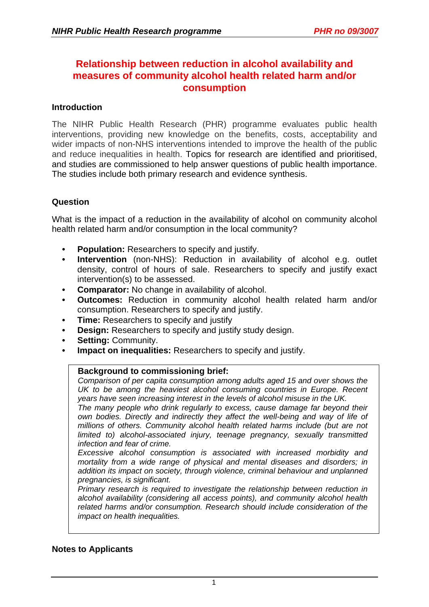# **Relationship between reduction in alcohol availability and measures of community alcohol health related harm and/or consumption**

### **Introduction**

The NIHR Public Health Research (PHR) programme evaluates public health interventions, providing new knowledge on the benefits, costs, acceptability and wider impacts of non-NHS interventions intended to improve the health of the public and reduce inequalities in health. Topics for research are identified and prioritised, and studies are commissioned to help answer questions of public health importance. The studies include both primary research and evidence synthesis.

## **Question**

What is the impact of a reduction in the availability of alcohol on community alcohol health related harm and/or consumption in the local community?

- **Population:** Researchers to specify and justify.
- **Intervention** (non-NHS): Reduction in availability of alcohol e.g. outlet density, control of hours of sale. Researchers to specify and justify exact intervention(s) to be assessed.
- **Comparator:** No change in availability of alcohol.
- **Outcomes:** Reduction in community alcohol health related harm and/or consumption. Researchers to specify and justify.
- **Time:** Researchers to specify and justify
- **Design:** Researchers to specify and justify study design.
- **Setting:** Community.
- **Impact on inequalities:** Researchers to specify and justify.

### **Background to commissioning brief:**

*Comparison of per capita consumption among adults aged 15 and over shows the UK to be among the heaviest alcohol consuming countries in Europe. Recent years have seen increasing interest in the levels of alcohol misuse in the UK.* 

*The many people who drink regularly to excess, cause damage far beyond their own bodies. Directly and indirectly they affect the well-being and way of life of millions of others. Community alcohol health related harms include (but are not limited to) alcohol-associated injury, teenage pregnancy, sexually transmitted infection and fear of crime.* 

*Excessive alcohol consumption is associated with increased morbidity and mortality from a wide range of physical and mental diseases and disorders; in addition its impact on society, through violence, criminal behaviour and unplanned pregnancies, is significant.* 

*Primary research is required to investigate the relationship between reduction in alcohol availability (considering all access points), and community alcohol health related harms and/or consumption. Research should include consideration of the impact on health inequalities.* 

### **Notes to Applicants**